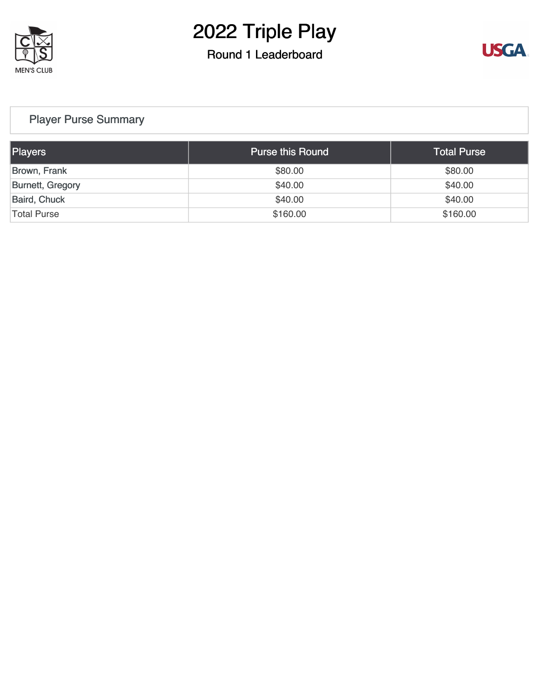

### Round 1 Leaderboard



### [Player Purse Summary](https://cdn2.golfgenius.com/v2tournaments/total_purse?league_id=8152211295765024794&round_id=8152211413809516740)

| <b>Players</b>      | <b>Purse this Round</b> | <b>Total Purse</b> |
|---------------------|-------------------------|--------------------|
| Brown, Frank        | \$80.00                 | \$80.00            |
| Burnett, Gregory    | \$40.00                 | \$40.00            |
| <b>Baird, Chuck</b> | \$40.00                 | \$40.00            |
| <b>Total Purse</b>  | \$160.00                | \$160.00           |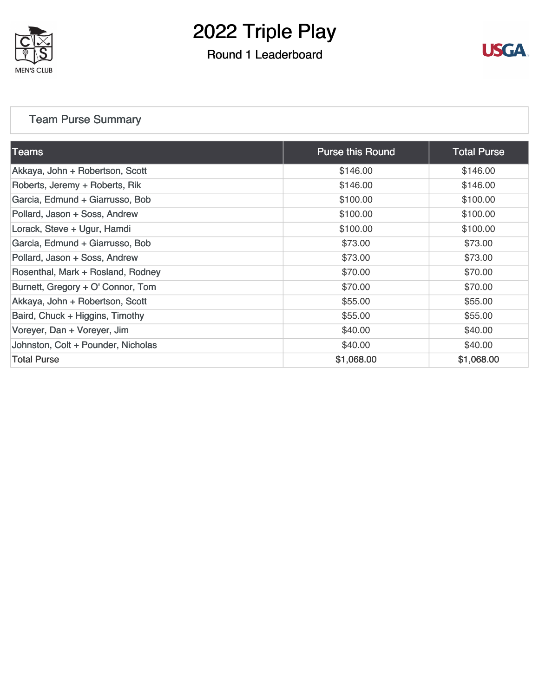

### Round 1 Leaderboard



### [Team Purse Summary](https://cdn2.golfgenius.com/v2tournaments/team_purse?league_id=8152211295765024794&round_id=8152211413809516740)

| $\sf{Teams}_1$                     | <b>Purse this Round</b> | <b>Total Purse</b> |
|------------------------------------|-------------------------|--------------------|
| Akkaya, John + Robertson, Scott    | \$146.00                | \$146.00           |
| Roberts, Jeremy + Roberts, Rik     | \$146.00                | \$146.00           |
| Garcia, Edmund + Giarrusso, Bob    | \$100.00                | \$100.00           |
| Pollard, Jason + Soss, Andrew      | \$100.00                | \$100.00           |
| Lorack, Steve + Ugur, Hamdi        | \$100.00                | \$100.00           |
| Garcia, Edmund + Giarrusso, Bob    | \$73.00                 | \$73.00            |
| Pollard, Jason + Soss, Andrew      | \$73.00                 | \$73.00            |
| Rosenthal, Mark + Rosland, Rodney  | \$70.00                 | \$70.00            |
| Burnett, Gregory + O' Connor, Tom  | \$70.00                 | \$70.00            |
| Akkaya, John + Robertson, Scott    | \$55.00                 | \$55.00            |
| Baird, Chuck + Higgins, Timothy    | \$55.00                 | \$55.00            |
| Voreyer, Dan + Voreyer, Jim        | \$40.00                 | \$40.00            |
| Johnston, Colt + Pounder, Nicholas | \$40.00                 | \$40.00            |
| <b>Total Purse</b>                 | \$1,068.00              | \$1,068.00         |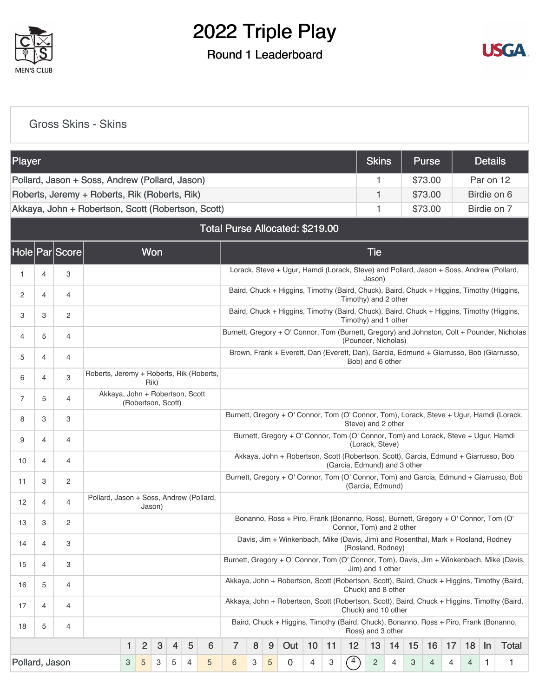

### Round 1 Leaderboard



[Gross Skins - Skins](https://cdn2.golfgenius.com/v2tournaments/8191478389878575229?called_from=&round_index=1)

| Player         |                                                                              |                |                                                                                                                   |   |                |            |   |   |   |                                 |   |   |                                                                                           |    |    |                              | <b>Skins</b>     |    |    | <b>Purse</b> |    |    | <b>Details</b> |                                                                                             |
|----------------|------------------------------------------------------------------------------|----------------|-------------------------------------------------------------------------------------------------------------------|---|----------------|------------|---|---|---|---------------------------------|---|---|-------------------------------------------------------------------------------------------|----|----|------------------------------|------------------|----|----|--------------|----|----|----------------|---------------------------------------------------------------------------------------------|
|                |                                                                              |                | Pollard, Jason + Soss, Andrew (Pollard, Jason)                                                                    |   |                |            |   |   |   |                                 |   |   |                                                                                           |    |    |                              | 1                |    |    | \$73.00      |    |    | Par on 12      |                                                                                             |
|                |                                                                              |                | Roberts, Jeremy + Roberts, Rik (Roberts, Rik)                                                                     |   |                |            |   |   |   |                                 |   |   |                                                                                           |    |    |                              | 1                |    |    | \$73.00      |    |    | Birdie on 6    |                                                                                             |
|                |                                                                              |                | Akkaya, John + Robertson, Scott (Robertson, Scott)                                                                |   |                |            |   |   |   |                                 |   |   |                                                                                           |    |    |                              | 1                |    |    | \$73.00      |    |    |                | Birdie on 7                                                                                 |
|                |                                                                              |                |                                                                                                                   |   |                |            |   |   |   | Total Purse Allocated: \$219.00 |   |   |                                                                                           |    |    |                              |                  |    |    |              |    |    |                |                                                                                             |
|                |                                                                              | Hole Par Score |                                                                                                                   |   |                | <b>Won</b> |   |   |   |                                 |   |   |                                                                                           |    |    |                              | <b>Tie</b>       |    |    |              |    |    |                |                                                                                             |
| 1.             | 4                                                                            | 3              |                                                                                                                   |   |                |            |   |   |   |                                 |   |   | Lorack, Steve + Ugur, Hamdi (Lorack, Steve) and Pollard, Jason + Soss, Andrew (Pollard,   |    |    |                              | Jason)           |    |    |              |    |    |                |                                                                                             |
| 2              | 4                                                                            | 4              |                                                                                                                   |   |                |            |   |   |   |                                 |   |   | Baird, Chuck + Higgins, Timothy (Baird, Chuck), Baird, Chuck + Higgins, Timothy (Higgins, |    |    | Timothy) and 2 other         |                  |    |    |              |    |    |                |                                                                                             |
| 3              | 3                                                                            | $\overline{2}$ |                                                                                                                   |   |                |            |   |   |   |                                 |   |   | Baird, Chuck + Higgins, Timothy (Baird, Chuck), Baird, Chuck + Higgins, Timothy (Higgins, |    |    | Timothy) and 1 other         |                  |    |    |              |    |    |                |                                                                                             |
| 4              | 5                                                                            | 4              |                                                                                                                   |   |                |            |   |   |   |                                 |   |   |                                                                                           |    |    | (Pounder, Nicholas)          |                  |    |    |              |    |    |                | Burnett, Gregory + O' Connor, Tom (Burnett, Gregory) and Johnston, Colt + Pounder, Nicholas |
| 5              | 4                                                                            | 4              |                                                                                                                   |   |                |            |   |   |   |                                 |   |   | Brown, Frank + Everett, Dan (Everett, Dan), Garcia, Edmund + Giarrusso, Bob (Giarrusso,   |    |    |                              | Bob) and 6 other |    |    |              |    |    |                |                                                                                             |
| 6              | 4                                                                            | 3              | Roberts, Jeremy + Roberts, Rik (Roberts,                                                                          |   |                | Rik)       |   |   |   |                                 |   |   |                                                                                           |    |    |                              |                  |    |    |              |    |    |                |                                                                                             |
| 7              | Akkaya, John + Robertson, Scott<br>5<br>$\overline{4}$<br>(Robertson, Scott) |                |                                                                                                                   |   |                |            |   |   |   |                                 |   |   |                                                                                           |    |    |                              |                  |    |    |              |    |    |                |                                                                                             |
| 8              | 3                                                                            | 3              |                                                                                                                   |   |                |            |   |   |   |                                 |   |   |                                                                                           |    |    | Steve) and 2 other           |                  |    |    |              |    |    |                | Burnett, Gregory + O' Connor, Tom (O' Connor, Tom), Lorack, Steve + Ugur, Hamdi (Lorack,    |
| 9              | 4                                                                            | $\overline{4}$ |                                                                                                                   |   |                |            |   |   |   |                                 |   |   | Burnett, Gregory + O' Connor, Tom (O' Connor, Tom) and Lorack, Steve + Ugur, Hamdi        |    |    |                              | (Lorack, Steve)  |    |    |              |    |    |                |                                                                                             |
| 10             | 4                                                                            | $\overline{4}$ |                                                                                                                   |   |                |            |   |   |   |                                 |   |   | Akkaya, John + Robertson, Scott (Robertson, Scott), Garcia, Edmund + Giarrusso, Bob       |    |    | (Garcia, Edmund) and 3 other |                  |    |    |              |    |    |                |                                                                                             |
| 11             | 3                                                                            | $\overline{c}$ |                                                                                                                   |   |                |            |   |   |   |                                 |   |   |                                                                                           |    |    | (Garcia, Edmund)             |                  |    |    |              |    |    |                | Burnett, Gregory + O' Connor, Tom (O' Connor, Tom) and Garcia, Edmund + Giarrusso, Bob      |
| 12             | 4                                                                            | 4              | Pollard, Jason + Soss, Andrew (Pollard,                                                                           |   |                | Jason)     |   |   |   |                                 |   |   |                                                                                           |    |    |                              |                  |    |    |              |    |    |                |                                                                                             |
| 13             | 3                                                                            | $\overline{c}$ |                                                                                                                   |   |                |            |   |   |   |                                 |   |   | Bonanno, Ross + Piro, Frank (Bonanno, Ross), Burnett, Gregory + O' Connor, Tom (O'        |    |    | Connor, Tom) and 2 other     |                  |    |    |              |    |    |                |                                                                                             |
| 14             | 4                                                                            | 3              |                                                                                                                   |   |                |            |   |   |   |                                 |   |   | Davis, Jim + Winkenbach, Mike (Davis, Jim) and Rosenthal, Mark + Rosland, Rodney          |    |    | (Rosland, Rodney)            |                  |    |    |              |    |    |                |                                                                                             |
| 15             | 4                                                                            | 3              |                                                                                                                   |   |                |            |   |   |   |                                 |   |   |                                                                                           |    |    |                              | Jim) and 1 other |    |    |              |    |    |                | Burnett, Gregory + O' Connor, Tom (O' Connor, Tom), Davis, Jim + Winkenbach, Mike (Davis,   |
| 16             | 5                                                                            | $\overline{4}$ | Akkaya, John + Robertson, Scott (Robertson, Scott), Baird, Chuck + Higgins, Timothy (Baird,<br>Chuck) and 8 other |   |                |            |   |   |   |                                 |   |   |                                                                                           |    |    |                              |                  |    |    |              |    |    |                |                                                                                             |
| 17             | 4                                                                            | $\overline{4}$ |                                                                                                                   |   |                |            |   |   |   |                                 |   |   |                                                                                           |    |    | Chuck) and 10 other          |                  |    |    |              |    |    |                | Akkaya, John + Robertson, Scott (Robertson, Scott), Baird, Chuck + Higgins, Timothy (Baird, |
| 18             | 5                                                                            | $\overline{4}$ |                                                                                                                   |   |                |            |   |   |   |                                 |   |   | Baird, Chuck + Higgins, Timothy (Baird, Chuck), Bonanno, Ross + Piro, Frank (Bonanno,     |    |    | Ross) and 3 other            |                  |    |    |              |    |    |                |                                                                                             |
|                |                                                                              |                |                                                                                                                   | 1 | 2              | 3          | 4 | 5 | 6 | $\overline{7}$                  | 8 | 9 | Out                                                                                       | 10 | 11 | 12                           | 13               | 14 | 15 | 16           | 17 | 18 | In             | Total                                                                                       |
| Pollard, Jason |                                                                              |                |                                                                                                                   | 3 | $\overline{5}$ | 3          | 5 | 4 | 5 | 6                               | 3 | 5 | $\overline{0}$                                                                            | 4  | 3  | $\binom{4}{ }$               | $\overline{c}$   | 4  | 3  | 4            | 4  | 4  | 1              | 1                                                                                           |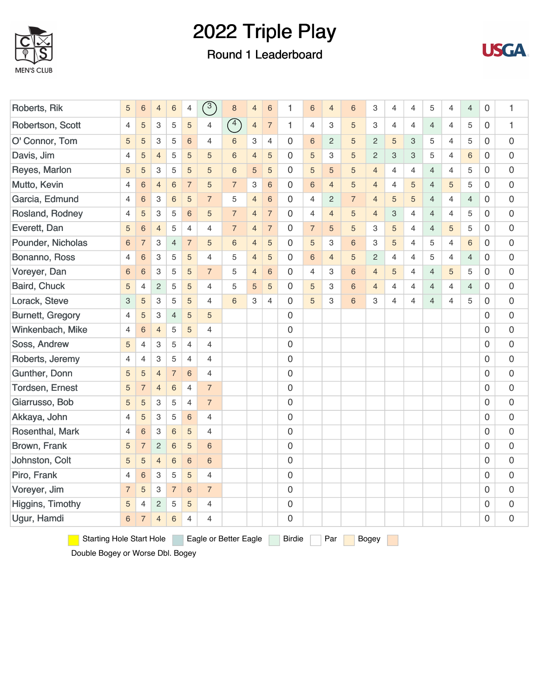

### Round 1 Leaderboard



| Roberts, Rik                    | 5              | $6\phantom{1}6$ | $\overline{4}$            | $\,$ 6 $\,$    | 4               | $\binom{3}{ }$        | $\bf8$         | $\overline{4}$            | $6\phantom{1}6$ | 1                   | 6              | $\overline{4}$ | 6              | 3              | 4              | $\overline{4}$ | 5              | $\overline{4}$ | $\overline{4}$ | 0              | 1 |
|---------------------------------|----------------|-----------------|---------------------------|----------------|-----------------|-----------------------|----------------|---------------------------|-----------------|---------------------|----------------|----------------|----------------|----------------|----------------|----------------|----------------|----------------|----------------|----------------|---|
| Robertson, Scott                | 4              | 5               | 3                         | 5              | 5               | 4                     | $\circled{4}$  | $\overline{4}$            | $\overline{7}$  | $\mathbf{1}$        | $\overline{4}$ | 3              | 5              | 3              | 4              | $\overline{4}$ | $\overline{4}$ | $\overline{4}$ | 5              | 0              | 1 |
| O' Connor, Tom                  | 5              | 5               | 3                         | 5              | $6\phantom{1}$  | $\overline{4}$        | 6              | $\ensuremath{\mathsf{3}}$ | $\overline{4}$  | 0                   | 6              | $\overline{2}$ | 5              | $\overline{c}$ | 5              | 3              | 5              | $\overline{4}$ | 5              | 0              | 0 |
| Davis, Jim                      | 4              | 5               | $\overline{4}$            | 5              | 5               | 5                     | $6\phantom{a}$ | $\overline{4}$            | 5               | 0                   | 5              | 3              | 5              | $\overline{c}$ | 3              | 3              | 5              | $\overline{4}$ | $\,6\,$        | 0              | 0 |
| Reyes, Marlon                   | 5              | 5               | $\ensuremath{\mathsf{3}}$ | 5              | 5               | 5                     | $6\phantom{a}$ | 5                         | 5               | $\mathbf 0$         | 5              | 5              | 5              | $\overline{4}$ | $\overline{4}$ | 4              | $\overline{4}$ | $\overline{4}$ | 5              | 0              | 0 |
| Mutto, Kevin                    | 4              | $6\phantom{1}6$ | $\overline{4}$            | 6              | $\overline{7}$  | 5                     | $\overline{7}$ | 3                         | 6               | 0                   | 6              | $\overline{4}$ | 5              | $\overline{4}$ | 4              | 5              | $\overline{4}$ | 5              | 5              | 0              | 0 |
| Garcia, Edmund                  | 4              | $6\phantom{1}6$ | 3                         | 6              | 5               | $\overline{7}$        | 5              | $\overline{4}$            | 6               | 0                   | 4              | $\overline{c}$ | $\overline{7}$ | $\overline{4}$ | 5              | 5              | $\overline{4}$ | $\overline{4}$ | $\overline{4}$ | 0              | 0 |
| Rosland, Rodney                 | 4              | 5               | 3                         | 5              | 6               | 5                     | $\overline{7}$ | $\overline{4}$            | $\overline{7}$  | 0                   | 4              | $\overline{4}$ | 5              | $\overline{4}$ | 3              | 4              | $\overline{4}$ | $\overline{4}$ | 5              | 0              | 0 |
| Everett, Dan                    | 5              | $6\phantom{1}6$ | $\overline{4}$            | 5              | $\overline{4}$  | $\overline{4}$        | $\overline{7}$ | $\overline{4}$            | $\overline{7}$  | $\mathbf 0$         | $\overline{7}$ | 5              | 5              | 3              | 5              | $\overline{4}$ | $\overline{4}$ | 5              | 5              | 0              | 0 |
| Pounder, Nicholas               | $\,$ 6 $\,$    | $\overline{7}$  | $\ensuremath{\mathsf{3}}$ | $\overline{4}$ | $\overline{7}$  | 5                     | $6\phantom{1}$ | $\overline{4}$            | 5               | 0                   | 5              | 3              | 6              | 3              | 5              | 4              | 5              | $\overline{4}$ | 6              | 0              | 0 |
| Bonanno, Ross                   | 4              | $\,$ 6 $\,$     | 3                         | 5              | 5               | $\overline{4}$        | 5              | $\overline{4}$            | 5               | 0                   | 6              | $\overline{4}$ | 5              | $\mathbf{2}$   | $\overline{4}$ | $\overline{4}$ | 5              | $\overline{4}$ | $\overline{4}$ | 0              | 0 |
| Voreyer, Dan                    | $\,$ 6 $\,$    | $6\phantom{1}6$ | $\ensuremath{\mathsf{3}}$ | 5              | 5               | $\overline{7}$        | 5              | $\overline{4}$            | 6               | 0                   | $\overline{4}$ | 3              | $6\,$          | $\overline{4}$ | 5              | $\overline{4}$ | $\overline{4}$ | 5              | 5              | 0              | 0 |
| Baird, Chuck                    | 5              | $\overline{4}$  | $\overline{c}$            | 5              | 5               | 4                     | 5              | 5                         | 5               | 0                   | 5              | 3              | $6\phantom{1}$ | $\overline{4}$ | 4              | $\overline{4}$ | $\overline{4}$ | $\overline{4}$ | $\overline{4}$ | 0              | 0 |
| Lorack, Steve                   | 3              | 5               | $\ensuremath{\mathsf{3}}$ | 5              | 5               | 4                     | $6\phantom{1}$ | 3                         | $\overline{4}$  | 0                   | 5              | 3              | 6              | 3              | 4              | 4              | $\overline{4}$ | 4              | 5              | 0              | 0 |
| <b>Burnett, Gregory</b>         | 4              | 5               | 3                         | $\overline{4}$ | 5               | 5                     |                |                           |                 | 0                   |                |                |                |                |                |                |                |                |                | 0              | 0 |
| Winkenbach, Mike                | 4              | $6\phantom{1}6$ | $\overline{4}$            | 5              | 5               | 4                     |                |                           |                 | 0                   |                |                |                |                |                |                |                |                |                | 0              | 0 |
| Soss, Andrew                    | 5              | $\overline{4}$  | 3                         | 5              | $\overline{4}$  | $\overline{4}$        |                |                           |                 | 0                   |                |                |                |                |                |                |                |                |                | 0              | 0 |
| Roberts, Jeremy                 | 4              | $\overline{4}$  | $\ensuremath{\mathsf{3}}$ | 5              | $\overline{4}$  | $\overline{4}$        |                |                           |                 | 0                   |                |                |                |                |                |                |                |                |                | 0              | 0 |
| Gunther, Donn                   | 5              | 5               | $\overline{4}$            | $\overline{7}$ | $6\overline{6}$ | $\overline{4}$        |                |                           |                 | $\mathbf 0$         |                |                |                |                |                |                |                |                |                | $\overline{0}$ | 0 |
| Tordsen, Ernest                 | 5              | $\overline{7}$  | $\overline{4}$            | 6              | $\overline{4}$  | $\overline{7}$        |                |                           |                 | 0                   |                |                |                |                |                |                |                |                |                | $\overline{0}$ | 0 |
| Giarrusso, Bob                  | 5              | 5               | $\ensuremath{\mathsf{3}}$ | 5              | $\overline{4}$  | $\overline{7}$        |                |                           |                 | $\mathsf{O}\xspace$ |                |                |                |                |                |                |                |                |                | 0              | 0 |
| Akkaya, John                    | 4              | 5               | 3                         | 5              | $6\phantom{a}$  | $\overline{4}$        |                |                           |                 | 0                   |                |                |                |                |                |                |                |                |                | 0              | 0 |
| Rosenthal, Mark                 | 4              | $6\phantom{1}6$ | 3                         | 6              | 5               | 4                     |                |                           |                 | 0                   |                |                |                |                |                |                |                |                |                | 0              | 0 |
| Brown, Frank                    | 5              | $\overline{7}$  | $\overline{c}$            | 6              | 5               | $6\phantom{1}6$       |                |                           |                 | 0                   |                |                |                |                |                |                |                |                |                | 0              | 0 |
| Johnston, Colt                  | 5              | 5               | $\overline{4}$            | $\,$ 6 $\,$    | 6               | $6\phantom{1}6$       |                |                           |                 | 0                   |                |                |                |                |                |                |                |                |                | 0              | 0 |
| Piro, Frank                     | 4              | $6\phantom{1}6$ | 3                         | 5              | 5               | $\overline{4}$        |                |                           |                 | $\mathbf 0$         |                |                |                |                |                |                |                |                |                | $\overline{0}$ | 0 |
| Voreyer, Jim                    | $\overline{7}$ | 5               | 3                         | $\overline{7}$ | 6               | $\overline{7}$        |                |                           |                 | 0                   |                |                |                |                |                |                |                |                |                | 0              | 0 |
| Higgins, Timothy                | 5              | $\overline{4}$  | $\overline{c}$            | 5              | 5               | $\overline{4}$        |                |                           |                 | $\mathsf{O}\xspace$ |                |                |                |                |                |                |                |                |                | 0              | 0 |
| Ugur, Hamdi                     | $6\,$          | $\overline{7}$  | $\overline{4}$            | 6              | 4               | $\overline{4}$        |                |                           |                 | 0                   |                |                |                |                |                |                |                |                |                | 0              | 0 |
| <b>Starting Hole Start Hole</b> |                |                 |                           |                |                 | Eagle or Better Eagle |                |                           |                 | Birdie              |                | Par            |                | <b>Bogey</b>   |                |                |                |                |                |                |   |

Double Bogey or Worse Dbl. Bogey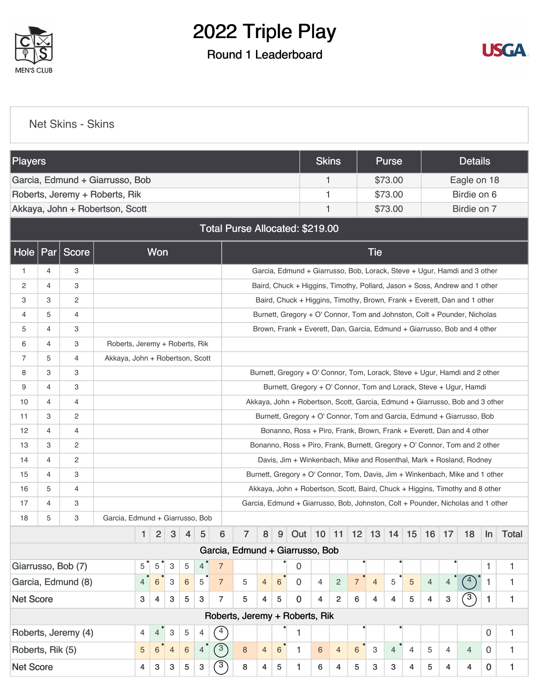

### Round 1 Leaderboard



[Net Skins - Skins](https://cdn2.golfgenius.com/v2tournaments/8191477622119616636?called_from=&round_index=1)

| <b>Players</b>                                                         |                                                                                  |                                                                        |                                                                            |                                                                              |                |                |         |                |                |                |                |                 |                                                                                 | <b>Skins</b>   |                |                |                | Purse          |                |                |                  | <b>Details</b> |              |             |
|------------------------------------------------------------------------|----------------------------------------------------------------------------------|------------------------------------------------------------------------|----------------------------------------------------------------------------|------------------------------------------------------------------------------|----------------|----------------|---------|----------------|----------------|----------------|----------------|-----------------|---------------------------------------------------------------------------------|----------------|----------------|----------------|----------------|----------------|----------------|----------------|------------------|----------------|--------------|-------------|
|                                                                        |                                                                                  |                                                                        | Garcia, Edmund + Giarrusso, Bob                                            |                                                                              |                |                |         |                |                |                |                |                 |                                                                                 | 1              |                |                |                | \$73.00        |                |                |                  | Eagle on 18    |              |             |
|                                                                        |                                                                                  |                                                                        | Roberts, Jeremy + Roberts, Rik                                             |                                                                              |                |                |         |                |                |                |                |                 |                                                                                 | 1              |                |                |                | \$73.00        |                |                |                  | Birdie on 6    |              |             |
|                                                                        |                                                                                  |                                                                        | Akkaya, John + Robertson, Scott                                            |                                                                              |                |                |         |                |                |                |                |                 |                                                                                 | 1              |                |                |                | \$73.00        |                |                |                  | Birdie on 7    |              |             |
|                                                                        |                                                                                  |                                                                        |                                                                            |                                                                              |                |                |         |                |                |                |                |                 | Total Purse Allocated: \$219.00                                                 |                |                |                |                |                |                |                |                  |                |              |             |
| <b>Hole</b>                                                            | Par                                                                              | Score                                                                  |                                                                            |                                                                              | Won            |                |         |                |                |                |                |                 |                                                                                 |                |                |                | <b>Tie</b>     |                |                |                |                  |                |              |             |
| 1                                                                      | 4                                                                                | 3                                                                      |                                                                            |                                                                              |                |                |         |                |                |                |                |                 | Garcia, Edmund + Giarrusso, Bob, Lorack, Steve + Ugur, Hamdi and 3 other        |                |                |                |                |                |                |                |                  |                |              |             |
| 2                                                                      | $\overline{4}$                                                                   | 3                                                                      |                                                                            |                                                                              |                |                |         |                |                |                |                |                 | Baird, Chuck + Higgins, Timothy, Pollard, Jason + Soss, Andrew and 1 other      |                |                |                |                |                |                |                |                  |                |              |             |
| 3                                                                      | 3                                                                                | 2                                                                      |                                                                            |                                                                              |                |                |         |                |                |                |                |                 | Baird, Chuck + Higgins, Timothy, Brown, Frank + Everett, Dan and 1 other        |                |                |                |                |                |                |                |                  |                |              |             |
| 4                                                                      | 5                                                                                | 4                                                                      |                                                                            |                                                                              |                |                |         |                |                |                |                |                 | Burnett, Gregory + O' Connor, Tom and Johnston, Colt + Pounder, Nicholas        |                |                |                |                |                |                |                |                  |                |              |             |
| 5                                                                      | 4                                                                                | 3                                                                      |                                                                            |                                                                              |                |                |         |                |                |                |                |                 | Brown, Frank + Everett, Dan, Garcia, Edmund + Giarrusso, Bob and 4 other        |                |                |                |                |                |                |                |                  |                |              |             |
| 6                                                                      | 4                                                                                | 3                                                                      | Roberts, Jeremy + Roberts, Rik                                             |                                                                              |                |                |         |                |                |                |                |                 |                                                                                 |                |                |                |                |                |                |                |                  |                |              |             |
| 7                                                                      | 5                                                                                | 4                                                                      | Akkaya, John + Robertson, Scott                                            |                                                                              |                |                |         |                |                |                |                |                 |                                                                                 |                |                |                |                |                |                |                |                  |                |              |             |
| 8                                                                      | 3                                                                                | 3                                                                      | Burnett, Gregory + O' Connor, Tom, Lorack, Steve + Ugur, Hamdi and 2 other |                                                                              |                |                |         |                |                |                |                |                 |                                                                                 |                |                |                |                |                |                |                |                  |                |              |             |
| 9                                                                      | 4                                                                                | 3<br>Burnett, Gregory + O' Connor, Tom and Lorack, Steve + Ugur, Hamdi |                                                                            |                                                                              |                |                |         |                |                |                |                |                 |                                                                                 |                |                |                |                |                |                |                |                  |                |              |             |
| 10                                                                     | 4                                                                                | 4                                                                      |                                                                            | Akkaya, John + Robertson, Scott, Garcia, Edmund + Giarrusso, Bob and 3 other |                |                |         |                |                |                |                |                 |                                                                                 |                |                |                |                |                |                |                |                  |                |              |             |
| 11                                                                     | 3                                                                                | $\overline{c}$                                                         |                                                                            | Burnett, Gregory + O' Connor, Tom and Garcia, Edmund + Giarrusso, Bob        |                |                |         |                |                |                |                |                 |                                                                                 |                |                |                |                |                |                |                |                  |                |              |             |
| 12                                                                     | $\overline{4}$                                                                   | 4                                                                      |                                                                            |                                                                              |                |                |         |                |                |                |                |                 | Bonanno, Ross + Piro, Frank, Brown, Frank + Everett, Dan and 4 other            |                |                |                |                |                |                |                |                  |                |              |             |
| 13                                                                     | 3                                                                                | 2                                                                      |                                                                            |                                                                              |                |                |         |                |                |                |                |                 | Bonanno, Ross + Piro, Frank, Burnett, Gregory + O' Connor, Tom and 2 other      |                |                |                |                |                |                |                |                  |                |              |             |
| 14                                                                     | $\overline{4}$                                                                   | $\overline{c}$                                                         |                                                                            |                                                                              |                |                |         |                |                |                |                |                 | Davis, Jim + Winkenbach, Mike and Rosenthal, Mark + Rosland, Rodney             |                |                |                |                |                |                |                |                  |                |              |             |
| 15                                                                     | 4                                                                                | 3                                                                      |                                                                            |                                                                              |                |                |         |                |                |                |                |                 | Burnett, Gregory + O' Connor, Tom, Davis, Jim + Winkenbach, Mike and 1 other    |                |                |                |                |                |                |                |                  |                |              |             |
| 16                                                                     | 5                                                                                | 4                                                                      |                                                                            |                                                                              |                |                |         |                |                |                |                |                 | Akkaya, John + Robertson, Scott, Baird, Chuck + Higgins, Timothy and 8 other    |                |                |                |                |                |                |                |                  |                |              |             |
| 17                                                                     | $\overline{4}$                                                                   | 3                                                                      |                                                                            |                                                                              |                |                |         |                |                |                |                |                 | Garcia, Edmund + Giarrusso, Bob, Johnston, Colt + Pounder, Nicholas and 1 other |                |                |                |                |                |                |                |                  |                |              |             |
| 18                                                                     | 5                                                                                | 3                                                                      | Garcia, Edmund + Giarrusso, Bob                                            |                                                                              |                |                |         |                |                |                |                |                 |                                                                                 |                |                |                |                |                |                |                |                  |                |              |             |
|                                                                        |                                                                                  |                                                                        |                                                                            | $\mathbf{1}$                                                                 | $\overline{2}$ | $\mathbf{3}$   | 4       | 5              | 6              | $\overline{7}$ | 8              | 9               | Out   10   11   12   13   14   15   16   17                                     |                |                |                |                |                |                |                |                  | 18             |              | $\ln$ Total |
|                                                                        |                                                                                  |                                                                        |                                                                            |                                                                              |                |                |         |                |                |                |                |                 | Garcia, Edmund + Giarrusso, Bob                                                 |                |                |                |                |                |                |                |                  |                |              |             |
|                                                                        |                                                                                  | Giarrusso, Bob (7)                                                     |                                                                            | 5                                                                            | 5              | 3              | 5       | $\overline{4}$ | $\overline{7}$ |                |                |                 | 0                                                                               |                |                |                |                |                |                |                |                  |                | 1            | 1           |
| Garcia, Edmund (8)<br>$6\phantom{1}6$<br>3<br>6<br>5<br>$\overline{4}$ |                                                                                  |                                                                        |                                                                            |                                                                              |                |                |         |                | $\overline{7}$ | 5              | $\overline{4}$ | $6\overline{6}$ | $\mathbf 0$                                                                     | $\overline{4}$ | $\mathbf{2}$   | $\overline{7}$ | $\overline{4}$ | 5              | $\overline{5}$ | $\overline{4}$ | $\overline{4}$   | $\binom{4}{ }$ | $\mathbf{1}$ | 1           |
| <b>Net Score</b><br>3<br>4<br>3<br>5<br>3                              |                                                                                  |                                                                        |                                                                            |                                                                              |                |                |         | $\overline{7}$ | 5              | 4              | 5              | $\mathbf 0$     | 4                                                                               | $\overline{2}$ | $6\phantom{1}$ | 4              | 4              | 5              | 4              | 3              | $\left(3\right)$ | 1              | $\mathbf{1}$ |             |
|                                                                        |                                                                                  |                                                                        |                                                                            |                                                                              |                |                |         |                |                |                |                |                 | Roberts, Jeremy + Roberts, Rik                                                  |                |                |                |                |                |                |                |                  |                |              |             |
|                                                                        |                                                                                  | Roberts, Jeremy (4)                                                    |                                                                            | 4                                                                            | 4              | 3              | 5       | 4              | $4^{\circ}$    |                |                |                 | 1                                                                               |                |                |                |                |                |                |                |                  |                | 0            | 1           |
|                                                                        |                                                                                  |                                                                        |                                                                            | $\sqrt{5}$                                                                   | $6\phantom{1}$ | $\overline{4}$ | $\,6\,$ | $\overline{4}$ | (3)            | 8              | $\overline{4}$ | $6\overline{6}$ | 1                                                                               | 6              | $\overline{4}$ | 6              | $\mathbf{3}$   | $\overline{4}$ | $\overline{4}$ | 5              | 4                | $\overline{4}$ | $\Omega$     | 1           |
|                                                                        | Roberts, Rik (5)<br>$\sqrt{3}$<br><b>Net Score</b><br>8<br>3<br>3<br>3<br>5<br>4 |                                                                        |                                                                            |                                                                              |                |                |         |                |                |                | 4              | 5               | 1.                                                                              | 6              | 4              | 5              | 3              | 3              | 4              | 5              | 4                | 4              | 0            | 1           |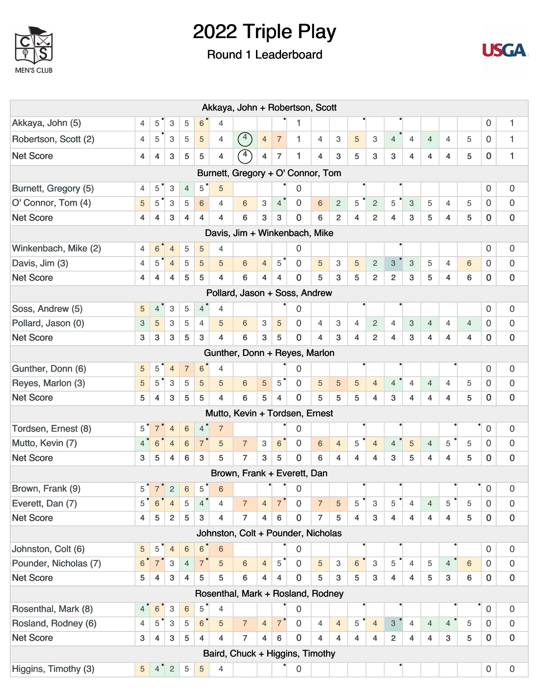

## Round 1 Leaderboard



|                                |                 |                                             |                           |                 |                |                         | Akkaya, John + Robertson, Scott                |                |                         |             |                |                |                |                           |                           |                |                         |                |                |                     |                     |
|--------------------------------|-----------------|---------------------------------------------|---------------------------|-----------------|----------------|-------------------------|------------------------------------------------|----------------|-------------------------|-------------|----------------|----------------|----------------|---------------------------|---------------------------|----------------|-------------------------|----------------|----------------|---------------------|---------------------|
| Akkaya, John (5)               | 4               | 5                                           | 3                         | 5               | 6              | $\overline{4}$          |                                                |                |                         | 1           |                |                |                |                           |                           |                |                         |                |                | 0                   | 1                   |
| Robertson, Scott (2)           | 4               | 5                                           | 3                         | 5               | 5              | 4                       | $\left( \begin{matrix} 4 \end{matrix} \right)$ | $\overline{4}$ | $\overline{7}$          | 1           | 4              | 3              | 5              | 3                         | $\overline{4}$            | $\overline{4}$ | $\overline{4}$          | $\overline{4}$ | 5              | 0                   | 1                   |
| <b>Net Score</b>               | $\overline{4}$  | 4                                           | 3                         | 5               | 5              | 4                       | $\curvearrowleft$                              | 4              | 7                       | 1           | 4              | 3              | 5              | 3                         | 3                         | 4              | 4                       | 4              | 5              | $\overline{0}$      | 1                   |
|                                |                 |                                             |                           |                 |                |                         | Burnett, Gregory + O' Connor, Tom              |                |                         |             |                |                |                |                           |                           |                |                         |                |                |                     |                     |
| Burnett, Gregory (5)           | 4               | 5                                           | 3                         | $\overline{4}$  | 5              | 5                       |                                                |                |                         | 0           |                |                |                |                           |                           |                |                         |                |                | 0                   | 0                   |
| O' Connor, Tom (4)             | $\sqrt{5}$      | $\mathbf 5$                                 | $\ensuremath{\mathsf{3}}$ | 5               | 6              | 4                       | 6                                              | 3              | 4 <sup>°</sup>          | $\Omega$    | $\,6$          | $\overline{c}$ | 5              | $\overline{c}$            | 5                         | 3              | 5                       | $\overline{4}$ | 5              | 0                   | 0                   |
| <b>Net Score</b>               | $\overline{4}$  | 4                                           | 3                         | 4               | $\overline{4}$ | $\overline{\mathbf{4}}$ | 6                                              | 3              | 3                       | 0           | 6              | $\overline{2}$ | $\overline{4}$ | $\overline{2}$            | $\overline{4}$            | 3              | 5                       | $\overline{4}$ | 5              | $\mathbf 0$         | $\mathbf 0$         |
|                                |                 |                                             |                           |                 |                |                         | Davis, Jim + Winkenbach, Mike                  |                |                         |             |                |                |                |                           |                           |                |                         |                |                |                     |                     |
| Winkenbach, Mike (2)           | 4               | 6                                           | $\overline{4}$            | 5               | 5              | $\overline{4}$          |                                                |                |                         | 0           |                |                |                |                           |                           |                |                         |                |                | 0                   | 0                   |
| Davis, Jim (3)                 | $\overline{4}$  | 5                                           | $\overline{4}$            | 5               | 5              | 5                       | 6                                              | $\overline{4}$ | 5                       | 0           | 5              | 3              | $\sqrt{5}$     | $\sqrt{2}$                | $\ensuremath{\mathsf{3}}$ | 3              | 5                       | $\overline{4}$ | 6              | 0                   | 0                   |
| <b>Net Score</b>               | 4               | 4                                           | 4                         | 5               | 5              | $\overline{4}$          | 6                                              | 4              | 4                       | 0           | 5              | 3              | 5              | $\overline{\mathbf{c}}$   | $\overline{\mathbf{c}}$   | 3              | 5                       | 4              | 6              | 0                   | $\pmb{0}$           |
| Pollard, Jason + Soss, Andrew  |                 |                                             |                           |                 |                |                         |                                                |                |                         |             |                |                |                |                           |                           |                |                         |                |                |                     |                     |
| Soss, Andrew (5)               | $\sqrt{5}$      | 4                                           | 3                         | 5               | $\overline{4}$ | $\overline{4}$          |                                                |                |                         | 0           |                |                |                |                           |                           |                |                         |                |                | 0                   | 0                   |
| Pollard, Jason (0)             | 3               | $\sqrt{5}$                                  | 3                         | 5               | $\overline{4}$ | 5                       | 6                                              | 3              | 5                       | 0           | $\overline{4}$ | 3              | $\overline{4}$ | $\mathbf{2}$              | $\overline{4}$            | 3              | $\overline{4}$          | $\overline{4}$ | $\overline{4}$ | 0                   | 0                   |
| <b>Net Score</b>               | 3               | 3                                           | 3                         | 5               | 3              | $\overline{\mathbf{4}}$ | 6                                              | 3              | 5                       | 0           | 4              | 3              | $\overline{4}$ | $\overline{2}$            | $\overline{4}$            | 3              | 4                       | 4              | 4              | $\mathbf 0$         | 0                   |
|                                |                 |                                             |                           |                 |                |                         | Gunther, Donn + Reyes, Marlon                  |                |                         |             |                |                |                |                           |                           |                |                         |                |                |                     |                     |
| Gunther, Donn (6)              | $\sqrt{5}$      | 5                                           | $\overline{4}$            | $\overline{7}$  | $\,6$          | 4                       |                                                |                |                         | 0           |                |                |                |                           |                           |                |                         |                |                | 0                   | 0                   |
| Reyes, Marlon (3)              | $\sqrt{5}$      | $5^{\circ}$                                 | 3                         | 5               | 5              | 5                       | 6                                              | $\overline{5}$ | $5^{\degree}$           | 0           | $\sqrt{5}$     | 5              | 5              | $\overline{4}$            | $\overline{4}$            | 4              | $\overline{4}$          | $\overline{4}$ | 5              | 0                   | 0                   |
| <b>Net Score</b>               | 5               | $\overline{4}$                              | 3                         | 5               | 5              | $\overline{\mathbf{4}}$ | 6                                              | 5              | $\overline{\mathbf{4}}$ | $\Omega$    | 5              | 5              | 5              | $\overline{4}$            | 3                         | 4              | $\overline{\mathbf{4}}$ | 4              | 5              | $\overline{0}$      | $\overline{0}$      |
| Mutto, Kevin + Tordsen, Ernest |                 |                                             |                           |                 |                |                         |                                                |                |                         |             |                |                |                |                           |                           |                |                         |                |                |                     |                     |
| Tordsen, Ernest (8)            | 5               | 7                                           | $\overline{4}$            | 6               | $\overline{4}$ | $\overline{7}$          |                                                |                |                         | 0           |                |                | ٠              |                           | ٠                         |                |                         |                |                | $\mathbf 0$         | 0                   |
| Mutto, Kevin (7)               | $\overline{4}$  | $6\,$                                       | $\overline{4}$            | 6               | $\overline{7}$ | 5                       | $\overline{7}$                                 | 3              | $6\phantom{1}$          | 0           | $6\,$          | $\overline{4}$ | 5              | $\overline{4}$            | $\overline{4}$            | $\sqrt{5}$     | $\overline{4}$          | 5              | 5              | $\Omega$            | 0                   |
| <b>Net Score</b>               | 3               | 5                                           | 4                         | 6               | 3              | 5                       | $\overline{7}$                                 | 3              | 5                       | 0           | 6              | 4              | $\overline{4}$ | 4                         | 3                         | 5              | 4                       | $\overline{4}$ | 5              | 0                   | 0                   |
|                                |                 |                                             |                           |                 |                |                         | Brown, Frank + Everett, Dan                    |                |                         |             |                |                |                |                           |                           |                |                         |                |                |                     |                     |
| Brown, Frank (9)               |                 | $5^{\circ}$ 7 <sup><math>\circ</math></sup> | $\sqrt{2}$                | $\,6\,$         | 5              | $6\phantom{1}6$         |                                                |                |                         | 0           |                |                | ٠              |                           |                           |                |                         |                |                | $\overline{0}$      | 0                   |
| Everett, Dan (7)               | 5               | $\,6\,$                                     | $\overline{4}$            | $\mathbf 5$     | $4^{\degree}$  | 4                       | $\overline{7}$                                 | $\overline{4}$ | 7 <sup>°</sup>          | $\mathbf 0$ | $\overline{7}$ | 5              | 5              | $\ensuremath{\mathsf{3}}$ | 5                         | $\overline{4}$ | $\overline{4}$          | 5              | 5              | 0                   | 0                   |
| <b>Net Score</b>               | 4               | $\sqrt{5}$                                  | $\overline{2}$            | 5               | 3              | 4                       | $\overline{7}$                                 | $\overline{4}$ | $\,6\,$                 | $\pmb{0}$   | $\overline{7}$ | 5              | 4              | 3                         | $\overline{4}$            | 4              | 4                       | $\overline{4}$ | 5              | $\mathbf 0$         | $\mathbf 0$         |
|                                |                 |                                             |                           |                 |                |                         | Johnston, Colt + Pounder, Nicholas             |                |                         |             |                |                |                |                           |                           |                |                         |                |                |                     |                     |
| Johnston, Colt (6)             | $\sqrt{5}$      | 5                                           | $\overline{4}$            | $6\phantom{1}6$ | $\,6$          | $6\phantom{1}6$         |                                                |                |                         | 0           |                |                |                |                           |                           |                |                         |                |                | 0                   | 0                   |
| Pounder, Nicholas (7)          | $\,6\,$         | $\overline{7}$                              | 3                         | $\overline{4}$  | $7^{\degree}$  | $\sqrt{5}$              | $6\phantom{1}$                                 | $\overline{4}$ | 5                       | 0           | $\sqrt{5}$     | 3              | 6              | 3                         | 5                         | $\overline{4}$ | 5                       | $\overline{4}$ | $6\phantom{1}$ | $\mathbf 0$         | 0                   |
| <b>Net Score</b>               | 5               | 4                                           | $\ensuremath{\mathsf{3}}$ | 4               | 5              | 5                       | 6                                              | $\overline{4}$ | 4                       | 0           | 5              | 3              | 5              | 3                         | $\overline{4}$            | 4              | 5                       | 3              | 6              | $\bf{0}$            | $\pmb{0}$           |
|                                |                 |                                             |                           |                 |                |                         | Rosenthal, Mark + Rosland, Rodney              |                |                         |             |                |                |                |                           |                           |                |                         |                |                |                     |                     |
| Rosenthal, Mark (8)            | 4 <sup>°</sup>  | $\,6\,$                                     | $\ensuremath{\mathsf{3}}$ | $\,6$           | 5              | $\overline{4}$          |                                                |                |                         | 0           |                |                |                |                           |                           |                |                         |                |                | $\mathsf{O}\xspace$ | 0                   |
| Rosland, Rodney (6)            | 4               | $\mathbf 5$                                 | 3                         | 5               | $6^{\degree}$  | 5                       | $\overline{7}$                                 | $\overline{4}$ | $7^{\circ}$             | $\mathbf 0$ | $\overline{4}$ | $\overline{4}$ | 5              | $\overline{4}$            | 3                         | $\overline{4}$ | $\overline{4}$          | $\overline{4}$ | 5              | $\mathbf 0$         | 0                   |
| <b>Net Score</b>               | 3               | 4                                           | 3                         | 5               | $\overline{4}$ | $\overline{\mathbf{4}}$ | $\overline{7}$                                 | $\overline{4}$ | $\,6\,$                 | 0           | $\overline{4}$ | 4              | $\overline{4}$ | $\overline{4}$            | $\overline{2}$            | $\overline{4}$ | $\overline{4}$          | 3              | 5              | $\mathbf 0$         | $\pmb{0}$           |
|                                |                 |                                             |                           |                 |                |                         | Baird, Chuck + Higgins, Timothy                |                |                         |             |                |                |                |                           |                           |                |                         |                |                |                     |                     |
| Higgins, Timothy (3)           | $5\phantom{.0}$ | 4 <sup>°</sup>                              | $\overline{c}$            | $\overline{5}$  | $\overline{5}$ | 4                       |                                                |                |                         | 0           |                |                |                |                           |                           |                |                         |                |                | $\mathbf 0$         | $\mathsf{O}\xspace$ |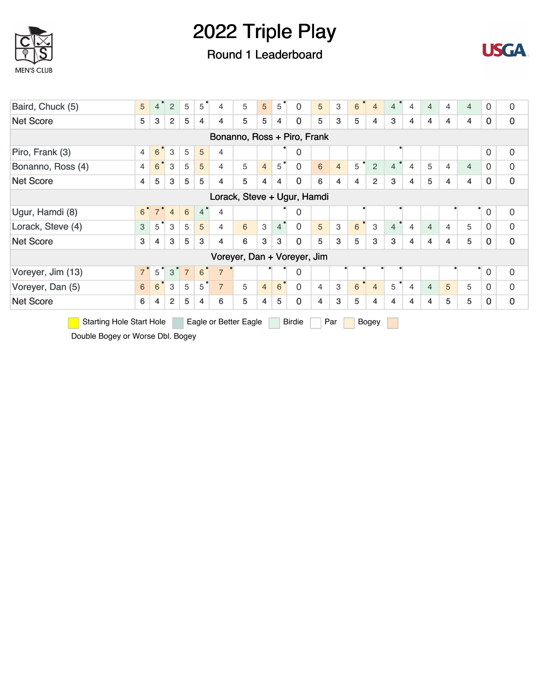

### Round 1 Leaderboard



| Baird, Chuck (5)                 | $5\phantom{.}$ | $\overline{4}$ | 2              | 5              | ٠<br>5           | 4                     | 5 | 5              | $5^{\circ}$    | $\overline{0}$              | 5 | 3              | $\bullet$<br>6 | $\overline{4}$ | $\overline{4}$ | 4              | $\overline{4}$ | 4              | $\overline{4}$ | $\mathbf 0$    | 0           |
|----------------------------------|----------------|----------------|----------------|----------------|------------------|-----------------------|---|----------------|----------------|-----------------------------|---|----------------|----------------|----------------|----------------|----------------|----------------|----------------|----------------|----------------|-------------|
| <b>Net Score</b>                 | 5              | 3              | $\overline{2}$ | 5              | 4                | $\overline{4}$        | 5 | 5              | 4              | 0                           | 5 | 3              | 5              | 4              | 3              | 4              | 4              | 4              | 4              | $\Omega$       | $\mathbf 0$ |
| Bonanno, Ross + Piro, Frank      |                |                |                |                |                  |                       |   |                |                |                             |   |                |                |                |                |                |                |                |                |                |             |
| Piro, Frank (3)                  | $\overline{4}$ | 6              | 3              | 5              | 5                | $\overline{4}$        |   |                |                | 0                           |   |                |                |                |                |                |                |                |                | $\overline{0}$ | 0           |
| Bonanno, Ross (4)                | $\overline{4}$ | 6              | 3              | 5              | 5                | 4                     | 5 | $\overline{4}$ | 5              | $\overline{0}$              | 6 | $\overline{4}$ | 5              | $\overline{2}$ | $\overline{4}$ | $\overline{4}$ | 5              | $\overline{4}$ | $\overline{4}$ | $\mathbf 0$    | 0           |
| <b>Net Score</b>                 | 4              | 5              | 3              | 5              | 5                | $\overline{4}$        | 5 | 4              | 4              | $\overline{0}$              | 6 | 4              | 4              | $\overline{2}$ | 3              | 4              | 5              | 4              | 4              | $\mathbf 0$    | $\mathbf 0$ |
| Lorack, Steve + Ugur, Hamdi<br>٠ |                |                |                |                |                  |                       |   |                |                |                             |   |                |                |                |                |                |                |                |                |                |             |
| Ugur, Hamdi (8)                  | 6 <sup>°</sup> |                | $\overline{4}$ | 6              | $\overline{4}$   | $\overline{4}$        |   |                |                | 0                           |   |                |                |                |                |                |                |                |                | $\mathbf 0$    | 0           |
| Lorack, Steve (4)                | 3              | $5^{\degree}$  | 3              | 5              | 5                | 4                     | 6 | 3              | $\overline{4}$ | $\mathbf 0$                 | 5 | 3              | 6              | 3              | $\overline{4}$ | $\overline{4}$ | $\overline{4}$ | $\overline{4}$ | 5              | $\Omega$       | $\mathbf 0$ |
| <b>Net Score</b>                 | 3              | 4              | 3              | 5              | 3                | 4                     | 6 | 3              | 3              | 0                           | 5 | 3              | 5              | 3              | 3              | 4              | 4              | 4              | 5              | $\Omega$       | $\mathbf 0$ |
|                                  |                |                |                |                |                  |                       |   |                |                | Voreyer, Dan + Voreyer, Jim |   |                |                |                |                |                |                |                |                |                |             |
| Voreyer, Jim (13)                | 7 <sup>°</sup> | 5              | 3              | $\overline{7}$ | $6 \overline{6}$ | $\overline{7}$        |   |                |                | 0                           |   |                |                |                |                |                |                |                |                | $\overline{0}$ | $\mathbf 0$ |
| Voreyer, Dan (5)                 | $6\phantom{a}$ | 6              | 3              | 5              | $5^{\circ}$      | $\overline{7}$        | 5 | $\overline{4}$ | 6              | $\Omega$                    | 4 | 3              | $\bullet$<br>6 | $\overline{4}$ | 5              | 4              | $\overline{4}$ | 5              | 5              | $\Omega$       | 0           |
| <b>Net Score</b>                 | 6              | 4              | 2              | 5              | 4                | 6                     | 5 | 4              | 5              | 0                           | 4 | 3              | 5              | 4              | 4              | 4              | 4              | 5              | 5              | $\mathbf{0}$   | 0           |
| <b>Starting Hole Start Hole</b>  |                |                |                |                |                  | Eagle or Better Eagle |   |                |                | <b>Birdie</b>               |   | Par            |                | Bogey          |                |                |                |                |                |                |             |

Double Bogey or Worse Dbl. Bogey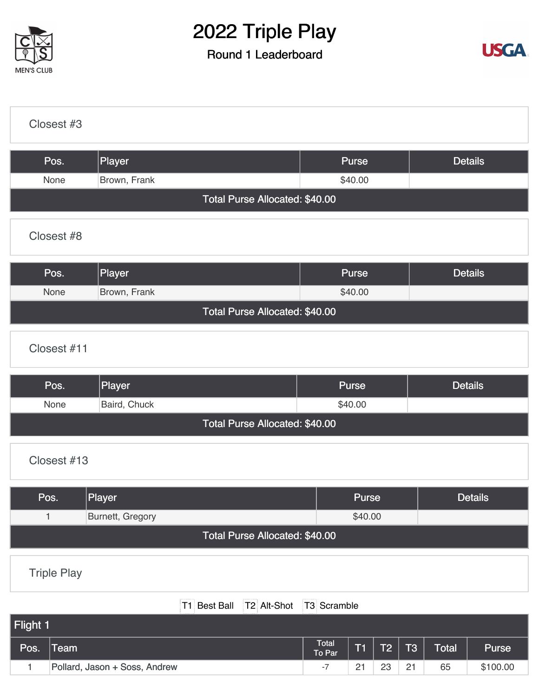

## Round 1 Leaderboard



| Closest #3  |                                |         |                |
|-------------|--------------------------------|---------|----------------|
| Pos.        | Player                         | Purse   | <b>Details</b> |
| None        | Brown, Frank                   | \$40.00 |                |
|             | Total Purse Allocated: \$40.00 |         |                |
| Closest #8  |                                |         |                |
| Pos.        | Player                         | Purse   | <b>Details</b> |
| None        | Brown, Frank                   | \$40.00 |                |
|             | Total Purse Allocated: \$40.00 |         |                |
| Closest #11 |                                |         |                |

| Pos.                           | Player       | <b>Purse</b> | <b>Details</b> |  |  |  |  |  |  |  |  |  |  |
|--------------------------------|--------------|--------------|----------------|--|--|--|--|--|--|--|--|--|--|
| <b>None</b>                    | Baird, Chuck | \$40.00      |                |  |  |  |  |  |  |  |  |  |  |
| Total Purse Allocated: \$40.00 |              |              |                |  |  |  |  |  |  |  |  |  |  |

#### [Closest #13](https://cdn2.golfgenius.com/v2tournaments/8189908384078647410?called_from=&round_index=1)

| Pos.                           | Player           | <b>Purse</b> | <b>Details</b> |  |  |  |  |  |  |  |  |  |
|--------------------------------|------------------|--------------|----------------|--|--|--|--|--|--|--|--|--|
|                                | Burnett, Gregory | \$40.00      |                |  |  |  |  |  |  |  |  |  |
| Total Purse Allocated: \$40.00 |                  |              |                |  |  |  |  |  |  |  |  |  |

[Triple Play](https://cdn2.golfgenius.com/v2tournaments/8152211549235204577?called_from=&round_index=1)

|          | T1 Best Ball T2 Alt-Shot T3 Scramble | .                      |    |    |             |       |          |
|----------|--------------------------------------|------------------------|----|----|-------------|-------|----------|
| Flight 1 |                                      |                        |    |    |             |       |          |
| Pos.     | <b>Team</b>                          | <b>Total</b><br>To Par | T  | T2 | $\sqrt{13}$ | Total | Purse    |
|          | Pollard, Jason + Soss, Andrew        | -7                     | 21 | 23 | 21          | 65    | \$100.00 |